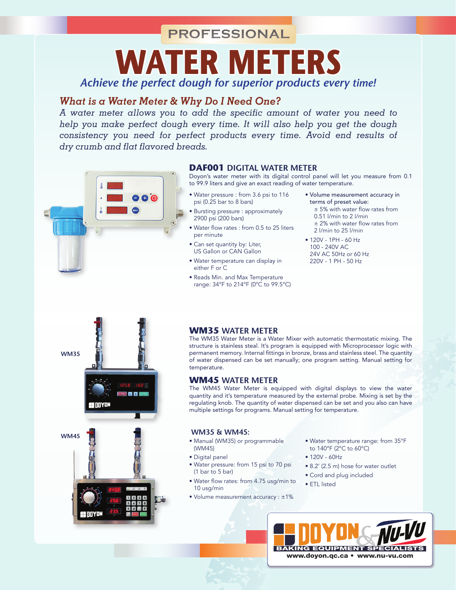**PROFESSIONAL**

*Achieve the perfect dough for superior products every time!* **Water Meters**

# *What is a Water Meter & Why Do I Need One?*

*A water meter allows you to add the specific amount of water you need to help you make perfect dough every time. It will also help you get the dough consistency you need for perfect products every time. Avoid end results of dry crumb and flat flavored breads.*



## **DAF001 Digital water meter**

Doyon's water meter with its digital control panel will let you measure from 0.1 to 99.9 liters and give an exact reading of water temperature.

- Water pressure : from 3.6 psi to 116 psi (0.25 bar to 8 bars)
- Bursting pressure : approximately 2900 psi (200 bars)
- Water flow rates : from 0.5 to 25 liters per minute
- Can set quantity by: Liter, US Gallon or CAN Gallon
- Water temperature can display in either F or C
- Reads Min. and Max Temperature range: 34°F to 214°F (0°C to 99.5°C)
- Volume measurement accuracy in terms of preset value: ± 5% with water flow rates from 0.51 l/min to 2 l/min ± 2% with water flow rates from 2 l/min to 25 l/min
- 120V 1PH 60 Hz 100 - 240V AC 24V AC 50Hz or 60 Hz 220V - 1 PH - 50 Hz



## **WM35 water meter**

The WM35 Water Meter is a Water Mixer with automatic thermostatic mixing. The structure is stainless steal. It's program is equipped with Microprocessor logic with permanent memory. Internal fittings in bronze, brass and stainless steel. The quantity of water dispensed can be set manually; one program setting. Manual setting for temperature.

### **WM45 water meter**

The WM45 Water Meter is equipped with digital displays to view the water quantity and it's temperature measured by the external probe. Mixing is set by the regulating knob. The quantity of water dispensed can be set and you also can have multiple settings for programs. Manual setting for temperature.

- Manual (WM35) or programmable (WM45)
- Digital panel
- Water pressure: from 15 psi to 70 psi (1 bar to 5 bar)
- Water flow rates: from 4.75 usg/min to 10 usg/min
- Volume measurement accuracy : ±1%
- Water temperature range: from 35°F to 140°F (2°C to 60°C)
- $120V 60Hz$
- 8.2' (2.5 m) hose for water outlet
- Cord and plug included
- ETL listed